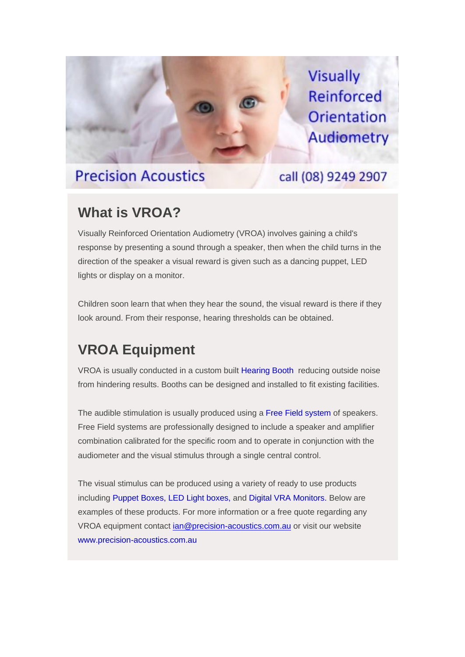## **Precision Acoustics**

**Visually** Reinforced Orientation **Audiometry** 

## call (08) 9249 2907

## **What is VROA?**

Visually Reinforced Orientation Audiometry (VROA) involves gaining a child's response by presenting a sound through a speaker, then when the child turns in the direction of the speaker a visual reward is given such as a dancing puppet, LED lights or display on a monitor.

Children soon learn that when they hear the sound, the visual reward is there if they look around. From their response, hearing thresholds can be obtained.

## **VROA Equipment**

VROA is usually conducted in a custom built [Hearing Booth](https://precision-acoustics.us13.list-manage.com/track/click?u=4d275b91e5154c38466c59e9a&id=faa78e16c8&e=1c5a12761c) reducing outside noise from hindering results. Booths can be designed and installed to fit existing facilities.

The audible stimulation is usually produced using a [Free Field system](https://precision-acoustics.us13.list-manage.com/track/click?u=4d275b91e5154c38466c59e9a&id=1b23015cab&e=1c5a12761c) of speakers. Free Field systems are professionally designed to include a speaker and amplifier combination calibrated for the specific room and to operate in conjunction with the audiometer and the visual stimulus through a single central control.

The visual stimulus can be produced using a variety of ready to use products including [Puppet Boxes,](https://precision-acoustics.us13.list-manage.com/track/click?u=4d275b91e5154c38466c59e9a&id=73e79df545&e=1c5a12761c) [LED Light boxes,](https://precision-acoustics.us13.list-manage.com/track/click?u=4d275b91e5154c38466c59e9a&id=8af1643bbd&e=1c5a12761c) an[d Digital VRA Monitors.](https://precision-acoustics.us13.list-manage.com/track/click?u=4d275b91e5154c38466c59e9a&id=050c1739fa&e=1c5a12761c) Below are examples of these products. For more information or a free quote regarding any VROA equipment contact [ian@precision-acoustics.com.au](mailto:ian@precision-acoustics.com.au) or visit our website [www.precision-acoustics.com.au](https://precision-acoustics.us13.list-manage.com/track/click?u=4d275b91e5154c38466c59e9a&id=b0983b65bc&e=1c5a12761c)